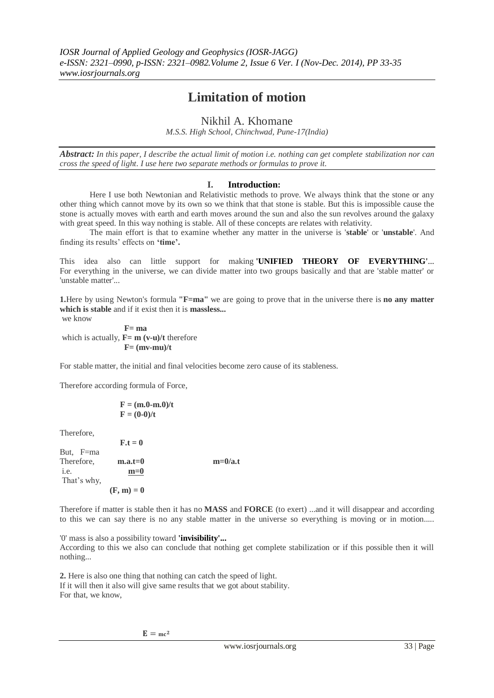# **Limitation of motion**

Nikhil A. Khomane

*M.S.S. High School, Chinchwad, Pune-17(India)*

*Abstract: In this paper, I describe the actual limit of motion i.e. nothing can get complete stabilization nor can cross the speed of light. I use here two separate methods or formulas to prove it.*

## **I. Introduction:**

Here I use both Newtonian and Relativistic methods to prove. We always think that the stone or any other thing which cannot move by its own so we think that that stone is stable. But this is impossible cause the stone is actually moves with earth and earth moves around the sun and also the sun revolves around the galaxy with great speed. In this way nothing is stable. All of these concepts are relates with relativity.

The main effort is that to examine whether any matter in the universe is '**stable**' or '**unstable**'. And finding its results" effects on **'time'.**

This idea also can little support for making **'UNIFIED THEORY OF EVERYTHING'**... For everything in the universe, we can divide matter into two groups basically and that are 'stable matter' or 'unstable matter'...

**1.**Here by using Newton's formula **"F=ma"** we are going to prove that in the universe there is **no any matter which is stable** and if it exist then it is **massless...** we know

 **F= ma** which is actually, **F**= **m** (v-u)/t therefore  $F = (mv-mu)/t$ 

For stable matter, the initial and final velocities become zero cause of its stableness.

Therefore according formula of Force,

$$
\mathbf{F} = (\mathbf{m}.\mathbf{0} - \mathbf{m}.\mathbf{0})/\mathbf{t}
$$

$$
\mathbf{F} = (\mathbf{0} - \mathbf{0})/\mathbf{t}
$$

Therefore,

|             | $F_t = 0$    |           |
|-------------|--------------|-----------|
| But, F=ma   |              |           |
| Therefore,  | $m.a.t=0$    | $m=0/a.t$ |
| i.e.        | $m=0$        |           |
| That's why, |              |           |
|             | $(F, m) = 0$ |           |

Therefore if matter is stable then it has no **MASS** and **FORCE** (to exert) ...and it will disappear and according to this we can say there is no any stable matter in the universe so everything is moving or in motion.....

'0' mass is also a possibility toward **'invisibility'...** According to this we also can conclude that nothing get complete stabilization or if this possible then it will nothing...

**2.** Here is also one thing that nothing can catch the speed of light. If it will then it also will give same results that we got about stability. For that, we know,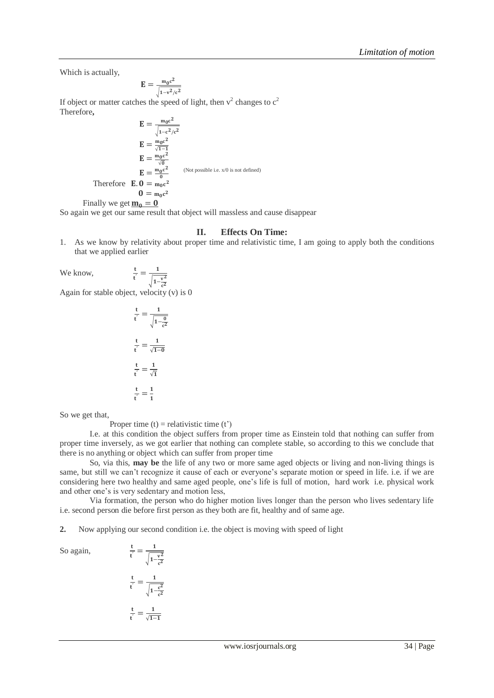Which is actually,

$$
\mathbf{E} = \frac{\mathbf{m}_0 \mathbf{c}^2}{\sqrt{1 - \mathbf{v}^2/c^2}}
$$

If object or matter catches the speed of light, then  $v^2$  changes to  $c^2$ Therefore**,** 

$$
E = \frac{m_0 c^2}{\sqrt{1 - c^2/c^2}}
$$
  
\n
$$
E = \frac{m_0 c^2}{\sqrt{1 - 1}}
$$
  
\n
$$
E = \frac{m_0 c^2}{\sqrt{0}}
$$
  
\n
$$
E = \frac{m_0 c^2}{0}
$$
 (Not possible i.e. x/0 is not defined)  
\nTherefore  $E. 0 = m_0 c^2$   
\n
$$
0 = m_0 c^2
$$
  
\nFinally we get  $\underline{m_0} = 0$ 

So again we get our same result that object will massless and cause disappear

 $\vdots$ 

#### **II. Effects On Time:**

1. As we know by relativity about proper time and relativistic time, I am going to apply both the conditions that we applied earlier

We know,

 $\overline{c^2}$ Again for stable object, velocity (v) is 0

t  $rac{t}{t'} = \frac{1}{\sqrt{1}}$  $\sqrt{1-\frac{v^2}{2}}$ 

$$
\frac{t}{t'} = \frac{1}{\sqrt{1 - \frac{0}{c^2}}}
$$

$$
\frac{t}{t'} = \frac{1}{\sqrt{1 - 0}}
$$

$$
\frac{t}{t'} = \frac{1}{\sqrt{1}}
$$

$$
\frac{t}{t'} = \frac{1}{1}
$$

So we get that,

Proper time  $(t)$  = relativistic time  $(t')$ 

I.e. at this condition the object suffers from proper time as Einstein told that nothing can suffer from proper time inversely, as we got earlier that nothing can complete stable, so according to this we conclude that there is no anything or object which can suffer from proper time

So, via this, **may be** the life of any two or more same aged objects or living and non-living things is same, but still we can't recognize it cause of each or everyone's separate motion or speed in life. i.e. if we are considering here two healthy and same aged people, one"s life is full of motion, hard work i.e. physical work and other one"s is very sedentary and motion less,

Via formation, the person who do higher motion lives longer than the person who lives sedentary life i.e. second person die before first person as they both are fit, healthy and of same age.

**2.** Now applying our second condition i.e. the object is moving with speed of light

So again,

$$
t' = \sqrt{1 - \frac{v^2}{c^2}}
$$

$$
\frac{t}{t'} = \frac{1}{\sqrt{1 - \frac{c^2}{c^2}}}
$$

$$
\frac{t}{t'} = \frac{1}{\sqrt{1 - 1}}
$$

 $rac{t}{t'} = \frac{1}{\sqrt{2}}$